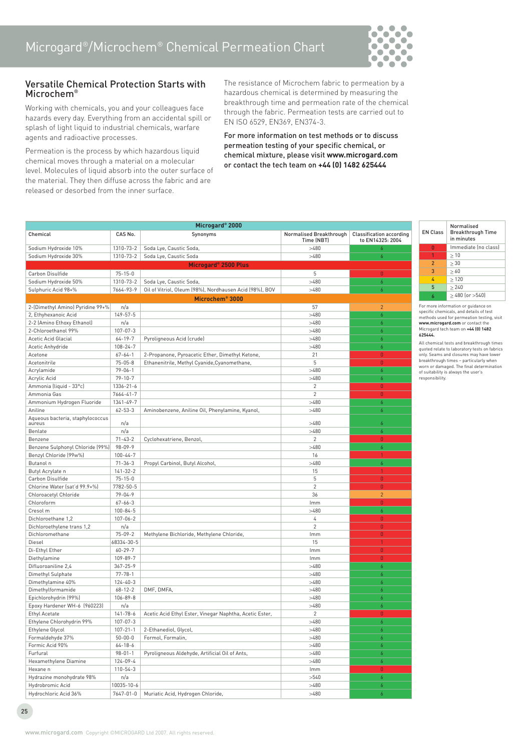

## Versatile Chemical Protection Starts with Microchem®

Working with chemicals, you and your colleagues face hazards every day. Everything from an accidental spill or splash of light liquid to industrial chemicals, warfare agents and radioactive processes.

Permeation is the process by which hazardous liquid chemical moves through a material on a molecular level. Molecules of liquid absorb into the outer surface of the material. They then diffuse across the fabric and are released or desorbed from the inner surface.

The resistance of Microchem fabric to permeation by a hazardous chemical is determined by measuring the breakthrough time and permeation rate of the chemical through the fabric. Permeation tests are carried out to EN ISO 6529, EN369, EN374-3.

For more information on test methods or to discuss permeation testing of your specific chemical, or chemical mixture, please visit **www.microgard.com** or contact the tech team on **+44 (0) 1482 625444**

| Microgard <sup>®</sup> 2000      |                 |                                                         |                                       |                                                     |
|----------------------------------|-----------------|---------------------------------------------------------|---------------------------------------|-----------------------------------------------------|
| Chemical                         | CAS No.         | Synonyms                                                | Normalised Breakthrough<br>Time (NBT) | <b>Classification according</b><br>to EN14325: 2004 |
| Sodium Hydroxide 10%             | 1310-73-2       | Soda Lye, Caustic Soda,                                 | >480                                  | 6                                                   |
| Sodium Hydroxide 30%             | 1310-73-2       | Soda Lye, Caustic Soda                                  | >480                                  | $\boldsymbol{6}$                                    |
|                                  |                 | Microgard <sup>®</sup> 2500 Plus                        |                                       |                                                     |
| Carbon Disulfide                 | $75 - 15 - 0$   |                                                         | 5                                     | $\theta$                                            |
| Sodium Hydroxide 50%             | 1310-73-2       | Soda Lye, Caustic Soda,                                 | >480                                  | 6                                                   |
| Sulphuric Acid 98+%              | 7664-93-9       | Oil of Vitriol, Oleum (98%), Nordhausen Acid (98%), BOV | >480                                  | 6                                                   |
|                                  |                 | Microchem® 3000                                         |                                       |                                                     |
| 2-(Dimethyl Amino) Pyridine 99+% | n/a             |                                                         | 57                                    | $\overline{2}$                                      |
| 2, Ethyhexanoic Acid             | 149-57-5        |                                                         | >480                                  | 6                                                   |
| 2-2 (Amino Ethoxy Ethanol)       | n/a             |                                                         | >480                                  | 6                                                   |
| 2-Chloroethanol 99%              | 107-07-3        |                                                         | >480                                  | 6                                                   |
| Acetic Acid Glacial              | $64 - 19 - 7$   | Pyroligneous Acid (crude)                               | >480                                  | 6                                                   |
| Acetic Anhydride                 | $108 - 24 - 7$  |                                                         | >480                                  | 6                                                   |
| Acetone                          | $67 - 64 - 1$   | 2-Propanone, Pyroacetic Ether, Dimethyl Ketone,         | 21                                    | $\theta$                                            |
| Acetonitrile                     | $75 - 05 - 8$   | Ethanenitrile, Methyl Cyanide, Cyanomethane,            | 5                                     | $\theta$                                            |
| Acrylamide                       | $79 - 06 - 1$   |                                                         | >480                                  | 6                                                   |
| Acrylic Acid                     | $79 - 10 - 7$   |                                                         | >480                                  | 6                                                   |
| Ammonia (liquid - 33°c)          | $1336 - 21 - 6$ |                                                         | $\overline{2}$                        | $\mathbf{0}$                                        |
| Ammonia Gas                      | $7664 - 41 - 7$ |                                                         | $\overline{2}$                        | $\theta$                                            |
| Ammonium Hydrogen Fluoride       | 1341-49-7       |                                                         | >480                                  | 6                                                   |
| Aniline                          | $62 - 53 - 3$   | Aminobenzene, Aniline Oil, Phenylamine, Kyanol,         | >480                                  | 6                                                   |
| Aqueous bacteria, staphylococcus |                 |                                                         |                                       |                                                     |
| aureus                           | n/a             |                                                         | >480                                  | 6                                                   |
| Benlate                          | n/a             |                                                         | >480                                  | 6                                                   |
| Benzene                          | $71 - 43 - 2$   | Cyclohexatriene, Benzol,                                | $\overline{c}$                        | $\mathbf{0}$                                        |
| Benzene Sulphonyl Chloride (99%) | $98 - 09 - 9$   |                                                         | >480                                  | 6                                                   |
| Benzyl Chloride (99w%)           | $100 - 44 - 7$  |                                                         | 16                                    | $\mathbf{1}$                                        |
| Butanol n                        | $71 - 36 - 3$   | Propyl Carbinol, Butyl Alcohol,                         | >480                                  | 6                                                   |
| Butyl Acrylate n                 | $141 - 32 - 2$  |                                                         | 15                                    | $\mathbf{1}$                                        |
| Carbon Disulfide                 | $75 - 15 - 0$   |                                                         | 5                                     | $\theta$                                            |
| Chlorine Water (sat'd 99.9+%)    | 7782-50-5       |                                                         | $\overline{2}$                        | $\mathbf 0$                                         |
| Chloroacetyl Chloride            | $79 - 04 - 9$   |                                                         | 36                                    | $\overline{2}$                                      |
| Chloroform                       | $67 - 66 - 3$   |                                                         | Imm                                   | $\theta$                                            |
| Cresol m                         | $100 - 84 - 5$  |                                                         | >480                                  | 6                                                   |
| Dichloroethane 1,2               | $107 - 06 - 2$  |                                                         | 4                                     | $\mathbf{0}$                                        |
| Dichloroethylene trans 1,2       | n/a             |                                                         | $\overline{c}$                        | $\theta$                                            |
| Dichloromethane                  | $75 - 09 - 2$   | Methylene Bichloride, Methylene Chloride,               | Imm                                   | $\mathbf{0}$                                        |
| Diesel                           | 68334-30-5      |                                                         | 15                                    | $\mathbf{1}$                                        |
| Di-Ethyl Ether                   | $60 - 29 - 7$   |                                                         | Imm                                   | $\overline{0}$                                      |
| Diethylamine                     | 109-89-7        |                                                         | Imm                                   | $\theta$                                            |
| Difluoroaniline 2,4              | $367 - 25 - 9$  |                                                         | >480                                  | 6                                                   |
| Dimethyl Sulphate                | $77 - 78 - 1$   |                                                         | >480                                  | 6                                                   |
| Dimethylamine 40%                | $124 - 40 - 3$  |                                                         | >480                                  | 6                                                   |
| Dimethylformamide                | $68 - 12 - 2$   | DMF, DMFA,                                              | >480                                  | 6                                                   |
| Epichlorohydrin (99%)            | 106-89-8        |                                                         | >480                                  | 6                                                   |
| Epoxy Hardener WH-6 (960223)     | n/a             |                                                         | >480                                  | 6                                                   |
| Ethyl Acetate                    | $141 - 78 - 6$  | Acetic Acid Ethyl Ester, Vinegar Naphtha, Acetic Ester, | $\overline{2}$                        | $\bf{0}$                                            |
| Ethylene Chlorohydrin 99%        | 107-07-3        |                                                         | >480                                  |                                                     |
| Ethylene Glycol                  | $107 - 21 - 1$  | 2-Ethanediol, Glycol,                                   | >480                                  | 6                                                   |
| Formaldehyde 37%                 | $50 - 00 - 0$   | Formol, Formalin,                                       | >480                                  | 6                                                   |
| Formic Acid 90%                  | $64 - 18 - 6$   |                                                         | >480                                  | 6                                                   |
| Furfural                         | $98 - 01 - 1$   | Pyroligneous Aldehyde, Artificial Oil of Ants,          | >480                                  | 6                                                   |
| Hexamethylene Diamine            | $124 - 09 - 4$  |                                                         | >480                                  | 6                                                   |
| Hexane n                         | $110 - 54 - 3$  |                                                         | <b>Imm</b>                            | $\theta$                                            |
| Hydrazine monohydrate 98%        | n/a             |                                                         | >540                                  | 6                                                   |
| Hydrobromic Acid                 | 10035-10-6      |                                                         | >480                                  | 6                                                   |
| Hydrochloric Acid 36%            | 7647-01-0       | Muriatic Acid, Hydrogen Chloride,                       | >480                                  | 6                                                   |

For more information or guidance on specific chemicals, and details of test methods used for permeation testing, visit **www.microgard.com** or contact the Microgard tech team on **+44 (0) 1482 625444.**

All chemical tests and breakthrough times quoted relate to laboratory tests on fabrics only. Seams and closures may have lower breakthrough times – particularly when worn or damaged. The final determination of suitability is always the user's responsibility.

25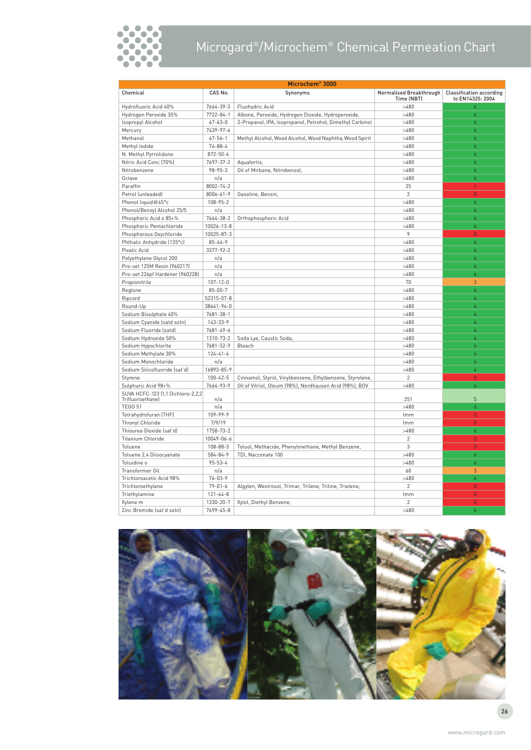

## Microgard®/Microchem® Chemical Permeation Chart

| Microchem <sup>®</sup> 3000                           |                 |                                                           |                                       |                                                     |
|-------------------------------------------------------|-----------------|-----------------------------------------------------------|---------------------------------------|-----------------------------------------------------|
| Chemical                                              | CAS No.         | Synonyms                                                  | Normalised Breakthrough<br>Time (NBT) | <b>Classification according</b><br>to EN14325: 2004 |
| Hydrofluoric Acid 40%                                 | 7664-39-3       | Fluohydric Acid                                           | >480                                  | 6                                                   |
| Hydrogen Peroxide 35%                                 | $7722 - 84 - 1$ | Albone, Peroxide, Hydrogen Dioxide, Hydroperoxide,        | >480                                  | 6                                                   |
| Isopropyl Alcohol                                     | $67 - 63 - 0$   | 2-Propanol, IPA, Isopropanol, Petrohol, Dimethyl Carbinol | >480                                  | 6                                                   |
| Mercury                                               | 7439-97-6       |                                                           | >480                                  | 6                                                   |
| Methanol                                              | $67 - 56 - 1$   | Methyl Alcohol, Wood Alcohol, Wood Naphtha, Wood Spirit   | >480                                  | 6                                                   |
| Methyl lodide                                         | $74 - 88 - 4$   |                                                           | >480                                  | 6                                                   |
| N. Methyl Pyrrolidone                                 | 872-50-4        |                                                           | >480                                  | 6                                                   |
| Nitric Acid Conc (70%)                                | 7697-37-2       | Aquafortis,                                               | >480                                  | 6                                                   |
| Nitrobenzene                                          | $98 - 95 - 3$   | Oil of Mirbane, Nitrobenzol,                              | >480                                  | 6                                                   |
| Octave                                                | n/a             |                                                           | >480                                  | 6                                                   |
| Paraffin                                              | 8002-74-2       |                                                           | 25                                    | $\mathbf{1}$                                        |
| Petrol (unleaded)                                     | $8006 - 61 - 9$ | Gasoline, Benzin,                                         | $\overline{c}$                        | $\overline{0}$                                      |
| Phenol liquid@45°c                                    | 108-95-2        |                                                           | >480                                  | 6                                                   |
| Phenol/Benzyl Alcohol 25/5                            | n/a             |                                                           | >480                                  | 6                                                   |
| Phosphoric Acid o 85+%                                | 7664-38-2       | Orthophosphoric Acid                                      | >480                                  | 6                                                   |
| Phosphoric Pentachloride                              | 10026-13-8      |                                                           | >480                                  | 6                                                   |
| Phosphorous Oxychloride                               | 10025-87-3      |                                                           | 9                                     | $\overline{0}$                                      |
| Phthalic Anhydride (135°c)                            | $85 - 44 - 9$   |                                                           | >480                                  | 6                                                   |
| Pivalic Acid                                          | 3377-92-2       |                                                           | >480                                  | 6                                                   |
| Polyethylene Glycol 200                               | n/a             |                                                           | >480                                  | 6                                                   |
| Pro-set 125M Resin (960217)                           | n/a             |                                                           | >480                                  | 6                                                   |
| Pro-set 226pf Hardener (960228)                       | n/a             |                                                           | >480                                  | $\boldsymbol{6}$                                    |
| Propionitrile                                         | $107 - 12 - 0$  |                                                           | 70                                    | 3                                                   |
| Reglone                                               | $85 - 00 - 7$   |                                                           | >480                                  | 6                                                   |
| Ripcord                                               | 52315-07-8      |                                                           | >480                                  | 6                                                   |
| Round-Up                                              | 38641-94-0      |                                                           | >480                                  | 6                                                   |
| Sodium Bisulphate 40%                                 | 7681-38-1       |                                                           | >480                                  | 6                                                   |
| Sodium Cyanide (satd soln)                            | 143-33-9        |                                                           | >480                                  | 6                                                   |
| Sodium Fluoride (satd)                                | 7681-49-4       |                                                           | >480                                  | 6                                                   |
| Sodium Hydroxide 50%                                  | 1310-73-2       | Soda Lye, Caustic Soda,                                   | >480                                  | 6                                                   |
| Sodium Hypochlorite                                   | 7681-52-9       | Bleach                                                    | >480                                  | 6                                                   |
| Sodium Methylate 30%                                  | $124 - 41 - 4$  |                                                           | >480                                  | 6                                                   |
| Sodium Monochloride                                   | n/a             |                                                           | >480                                  | 6                                                   |
| Sodium Silicofluoride (sat'd)                         | 16893-85-9      |                                                           | >480                                  | 6                                                   |
| Styrene                                               | $100 - 42 - 5$  | Cinnamol, Styrol, Vinylbenzene, Ethylbenzene, Styrolene,  | $\overline{2}$                        | $\overline{0}$                                      |
| Sulphuric Acid 98+%                                   | 7664-93-9       | Oil of Vitriol, Oleum (98%), Nordhausen Acid (98%), BOV   | >480                                  | 6                                                   |
| SUVA HCFC-123 (1,1 Dichloro-2,2,2<br>Trifluoroethane) | n/a             |                                                           | 251                                   | 5                                                   |
| <b>TEGO 51</b>                                        | n/a             |                                                           | >480                                  | $\overline{6}$                                      |
| Tetrahydrofuran (THF)                                 | $109 - 99 - 9$  |                                                           | Imm                                   | $\overline{0}$                                      |
| Thionyl Chloride                                      | 7/9/19          |                                                           | Imm                                   | $\Omega$                                            |
| Thiourea Dioxide (sat'd)                              | 1758-73-2       |                                                           | >480                                  | 6                                                   |
| Titanium Chloride                                     | 10049-06-6      |                                                           | $\overline{2}$                        | $\Omega$                                            |
| Toluene                                               | 108-88-3        | Toluol, Methacide, Phenylmethane, Methyl Benzene,         | 3                                     | $\overline{0}$                                      |
| Toluene 2,4 Diisocyanate                              | 584-84-9        | TDI, Nacconate 100                                        | >480                                  | 6                                                   |
| Toluidine o                                           | $95 - 53 - 4$   |                                                           | >480                                  | $\boldsymbol{6}$                                    |
| Transformer Oil                                       | n/a             |                                                           | 60                                    | 3                                                   |
| Trichloroacetic Acid 98%                              | $76 - 03 - 9$   |                                                           | >480                                  | 6                                                   |
| Trichloroethylene                                     | $79 - 01 - 6$   | Algylen, Westrosol, Trimar, Trilene, Triline, Trielene,   | $\overline{2}$                        | 0                                                   |
| Triethylamine                                         | $121 - 44 - 8$  |                                                           | Imm                                   | $\overline{0}$                                      |
| Xylene m                                              | 1330-20-7       | Xylol, Diethyl Benzene,                                   | $\overline{2}$                        | $\overline{0}$                                      |
| Zinc Bromide (sat'd soln)                             | 7699-45-8       |                                                           | >480                                  | ĥ                                                   |

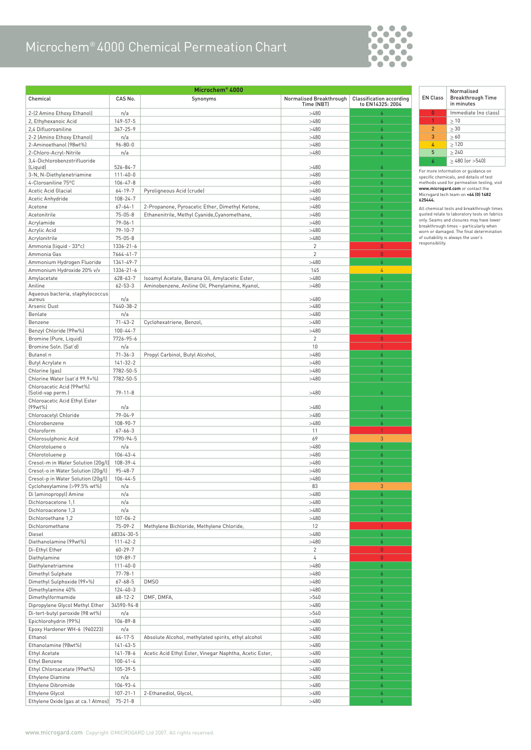## Microchem® 4000 Chemical Permeation Chart



| Microchem® 4000                                  |                                |                                                         |                                  |                                 |
|--------------------------------------------------|--------------------------------|---------------------------------------------------------|----------------------------------|---------------------------------|
| Chemical                                         | CAS No.                        | Synonyms                                                | Normalised Breakthrough          | <b>Classification according</b> |
|                                                  |                                |                                                         | Time (NBT)                       | to EN14325: 2004                |
| 2-(2 Amino Ethoxy Ethanol)                       | n/a                            |                                                         | >480                             | $\boldsymbol{6}$                |
| 2, Ethyhexanoic Acid                             | $149 - 57 - 5$                 |                                                         | >480                             | 6                               |
| 2.4 Difluoroaniline                              | $367 - 25 - 9$                 |                                                         | >480                             | $\overline{6}$                  |
| 2-2 (Amino Ethoxy Ethanol)                       | n/a                            |                                                         | >480                             | 6                               |
| 2-Aminoethanol (98wt%)<br>2-Chloro-Acryl-Nitrile | $96 - 80 - 0$<br>n/a           |                                                         | >480<br>>480                     | 6<br>6                          |
| 3,4-Dichlorobenzotrifluoride                     |                                |                                                         |                                  |                                 |
| (Liquid)                                         | $526 - 84 - 7$                 |                                                         | >480                             | $\overline{6}$                  |
| 3-N, N-Diethylenetriamine                        | $111 - 40 - 0$                 |                                                         | >480                             | 6                               |
| 4-Cloroaniline 75°C                              | $106 - 47 - 8$                 |                                                         | >480                             | $\boldsymbol{6}$                |
| Acetic Acid Glacial                              | $64 - 19 - 7$                  | Pyroligneous Acid (crude)                               | >480                             | $\boldsymbol{6}$                |
| Acetic Anhydride                                 | $108 - 24 - 7$                 |                                                         | >480                             | $\overline{6}$                  |
| Acetone                                          | $67 - 64 - 1$                  | 2-Propanone, Pyroacetic Ether, Dimethyl Ketone,         | >480                             | 6                               |
| Acetonitrile                                     | $75 - 05 - 8$                  | Ethanenitrile, Methyl Cyanide, Cyanomethane,            | >480                             | $\boldsymbol{6}$                |
| Acrylamide                                       | $79 - 06 - 1$                  |                                                         | >480                             | 6                               |
| Acrylic Acid                                     | $79 - 10 - 7$                  |                                                         | >480                             | 6                               |
| Acrylonitrile                                    | $75 - 05 - 8$                  |                                                         | >480                             | 6<br>$\Omega$                   |
| Ammonia (liquid - 33°c)<br>Ammonia Gas           | 1336-21-6<br>$7664 - 41 - 7$   |                                                         | $\overline{2}$<br>$\overline{c}$ | $\overline{0}$                  |
| Ammonium Hydrogen Fluoride                       | $1341 - 49 - 7$                |                                                         | >480                             | 6                               |
| Ammonium Hydroxide 20% v/v                       | $1336 - 21 - 6$                |                                                         | 145                              | 4                               |
| Amylacetate                                      | $628 - 63 - 7$                 | Isoamyl Acetate, Banana Oil, Amylacetic Ester,          | >480                             | 6                               |
| Aniline                                          | $62 - 53 - 3$                  | Aminobenzene, Aniline Oil, Phenylamine, Kyanol,         | >480                             | 6                               |
| Aqueous bacteria, staphylococcus                 |                                |                                                         |                                  |                                 |
| aureus                                           | n/a                            |                                                         | >480                             | 6                               |
| Arsenic Dust                                     | 7440-38-2                      |                                                         | >480                             | $\boldsymbol{6}$                |
| Benlate                                          | n/a                            |                                                         | >480                             | $\boldsymbol{6}$                |
| Benzene                                          | $71 - 43 - 2$                  | Cyclohexatriene, Benzol,                                | >480                             | 6                               |
| Benzyl Chloride (99w%)                           | $100 - 44 - 7$                 |                                                         | >480                             | $\boldsymbol{6}$                |
| Bromine (Pure, Liquid)                           | 7726-95-6                      |                                                         | $\overline{c}$                   | $\mathbf{0}$                    |
| Bromine Soln. (Sat'd)                            | n/a                            |                                                         | 10                               | $\mathbf{1}$                    |
| Butanol n                                        | $71 - 36 - 3$                  | Propyl Carbinol, Butyl Alcohol,                         | >480                             | 6                               |
| Butyl Acrylate n                                 | $141 - 32 - 2$<br>7782-50-5    |                                                         | >480<br>>480                     | 6                               |
| Chlorine (gas)<br>Chlorine Water (sat'd 99.9+%)  | 7782-50-5                      |                                                         | >480                             | 6<br>6                          |
| Chloroacetic Acid (99wt%)                        |                                |                                                         |                                  |                                 |
| (Solid-vap perm.)                                | $79 - 11 - 8$                  |                                                         | >480                             | $\overline{6}$                  |
| Chloroacetic Acid Ethyl Ester                    |                                |                                                         |                                  |                                 |
| (99wt%)                                          | n/a                            |                                                         | >480                             | $\boldsymbol{6}$                |
| Chloroacetyl Chloride                            | $79 - 04 - 9$                  |                                                         | >480                             | 6                               |
| Chlorobenzene                                    | 108-90-7                       |                                                         | >480                             | 6                               |
| Chloroform                                       | $67 - 66 - 3$                  |                                                         | 11                               | $\mathbf{1}$                    |
| Chlorosulphonic Acid<br>Chlorotoluene o          | 7790-94-5<br>n/a               |                                                         | 69<br>>480                       | 3<br>6                          |
| Chlorotoluene p                                  | $106 - 43 - 4$                 |                                                         | >480                             | 6                               |
| Cresol-m in Water Solution (20g/l)               | 108-39-4                       |                                                         | >480                             | 6                               |
| Cresol-o in Water Solution (20g/l)               | $95 - 48 - 7$                  |                                                         | >480                             | 6                               |
| Cresol-p in Water Solution (20q/l)               | $106 - 44 - 5$                 |                                                         | >480                             | 6                               |
| Cyclohexylamine (>99.5% wt%)                     | n/a                            |                                                         | 83                               | $\mathfrak{Z}$                  |
| Di (aminopropyl) Amine                           | n/a                            |                                                         | >480                             | 6                               |
| Dichloroacetone 1,1                              | n/a                            |                                                         | >480                             | 6                               |
| Dichloroacetone 1,3                              | n/a                            |                                                         | >480                             | 6                               |
| Dichloroethane 1,2                               | $107 - 06 - 2$                 |                                                         | >480                             | 6                               |
| Dichloromethane                                  | $75 - 09 - 2$                  | Methylene Bichloride, Methylene Chloride,               | 12                               | $\mathbf{1}$                    |
| Diesel                                           | 68334-30-5                     |                                                         | >480                             | 6                               |
| Diethanolamine (99wt%)                           | $111 - 42 - 2$                 |                                                         | >480                             | 6                               |
| Di-Ethyl Ether                                   | $60 - 29 - 7$                  |                                                         | $\overline{2}$                   | $\mathbf{0}$                    |
| Diethylamine                                     | 109-89-7                       |                                                         | 4                                | $\mathbf{0}$                    |
| Diethylenetriamine                               | $111 - 40 - 0$                 |                                                         | >480                             | 6                               |
| Dimethyl Sulphate<br>Dimethyl Sulphoxide (99+%)  | $77 - 78 - 1$<br>$67 - 68 - 5$ | DMS0                                                    | >480<br>>480                     | 6                               |
| Dimethylamine 40%                                | $124 - 40 - 3$                 |                                                         | >480                             | 6<br>6                          |
| Dimethylformamide                                | $68 - 12 - 2$                  | DMF, DMFA,                                              | >540                             | 6                               |
| Dipropylene Glycol Methyl Ether                  | 34590-94-8                     |                                                         | >480                             | 6                               |
| Di-tert-butyl peroxide (98 wt%)                  | n/a                            |                                                         | >540                             | 6                               |
| Epichlorohydrin (99%)                            | $106 - 89 - 8$                 |                                                         | >480                             | 6                               |
| Epoxy Hardener WH-6 (960223)                     | n/a                            |                                                         | >480                             | 6                               |
| Ethanol                                          | $64 - 17 - 5$                  | Absolute Alcohol, methylated spirits, ethyl alcohol     | >480                             | 6                               |
| Ethanolamine (98wt%)                             | $141 - 43 - 5$                 |                                                         | >480                             | 6                               |
| Ethyl Acetate                                    | $141 - 78 - 6$                 | Acetic Acid Ethyl Ester, Vinegar Naphtha, Acetic Ester, | >480                             | 6                               |
| Ethyl Benzene                                    | $100 - 41 - 4$                 |                                                         | >480                             | 6                               |
| Ethyl Chloroacetate (99wt%)                      | 105-39-5                       |                                                         | >480                             | 6                               |
| Ethylene Diamine                                 | n/a                            |                                                         | >480                             | 6                               |
| Ethylene Dibromide                               | 106-93-4                       |                                                         | >480                             | 6                               |
| Ethylene Glycol                                  | $107 - 21 - 1$                 | 2-Ethanediol, Glycol,                                   | >480                             | 6                               |
| Ethylene Oxide (gas at ca. 1 Atmos)              | $75 - 21 - 8$                  |                                                         | >480                             | 6                               |

| <b>EN Class</b> | Normalised<br><b>Breakthrough Time</b><br>in minutes |
|-----------------|------------------------------------------------------|
| n               | Immediate (no class)                                 |
|                 | $\geq 10$                                            |
| $\mathcal{P}$   | > 30                                                 |
| $\mathbf{3}$    | >60                                                  |
| 4               | >120                                                 |
| 5               | > 240                                                |
| Á               | $>480$ (or $>540$ )                                  |

For more information or guidance on<br>specific chemicals, and details of test<br>methods used for permeation testing, visit<br>**www.microgard.com** or contact the<br>Microgard tech team on **+44 (0) 1482**<br>**625444.** 

All chemical tests and breakthrough times<br>quoted relate to laboratory tests on fabricative<br>only. Seams and closures may have lower<br>breakthrough times – particularly when<br>worn or damaged. The final determination<br>of suitabil